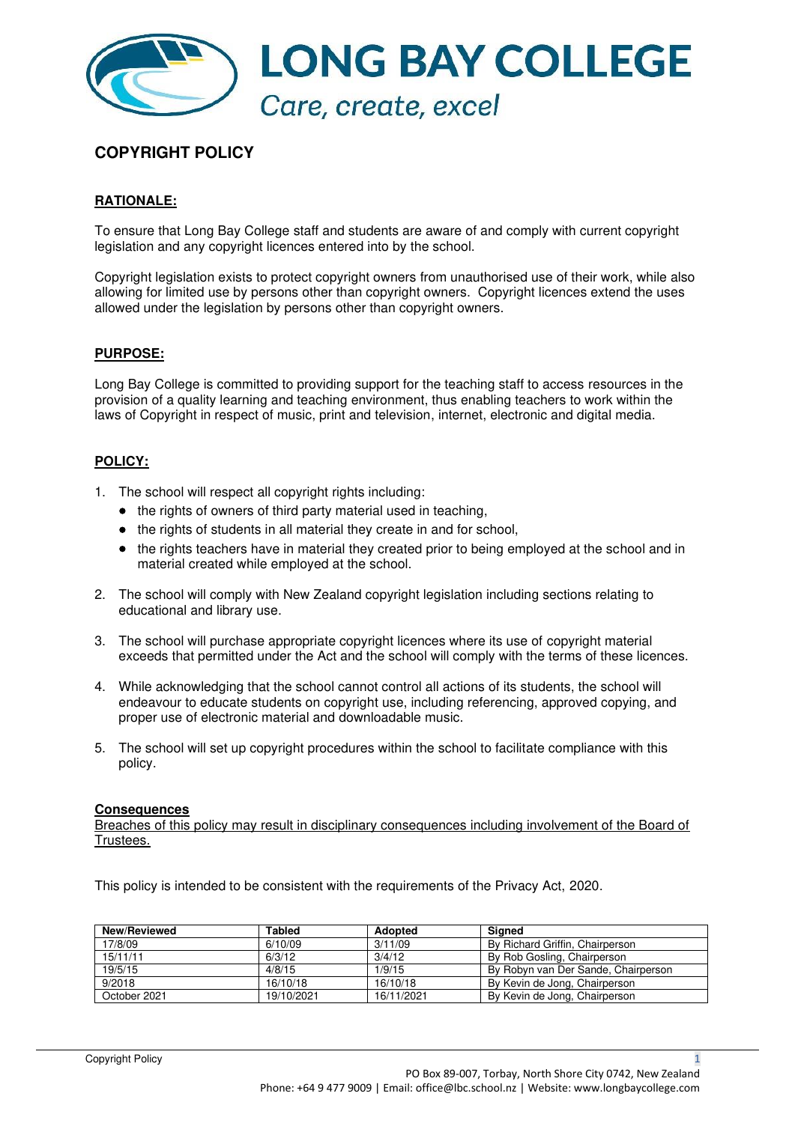

# **COPYRIGHT POLICY**

### **RATIONALE:**

To ensure that Long Bay College staff and students are aware of and comply with current copyright legislation and any copyright licences entered into by the school.

Copyright legislation exists to protect copyright owners from unauthorised use of their work, while also allowing for limited use by persons other than copyright owners. Copyright licences extend the uses allowed under the legislation by persons other than copyright owners.

### **PURPOSE:**

Long Bay College is committed to providing support for the teaching staff to access resources in the provision of a quality learning and teaching environment, thus enabling teachers to work within the laws of Copyright in respect of music, print and television, internet, electronic and digital media.

#### **POLICY:**

- 1. The school will respect all copyright rights including:
	- the rights of owners of third party material used in teaching,
	- the rights of students in all material they create in and for school,
	- the rights teachers have in material they created prior to being employed at the school and in material created while employed at the school.
- 2. The school will comply with New Zealand copyright legislation including sections relating to educational and library use.
- 3. The school will purchase appropriate copyright licences where its use of copyright material exceeds that permitted under the Act and the school will comply with the terms of these licences.
- 4. While acknowledging that the school cannot control all actions of its students, the school will endeavour to educate students on copyright use, including referencing, approved copying, and proper use of electronic material and downloadable music.
- 5. The school will set up copyright procedures within the school to facilitate compliance with this policy.

#### **Consequences**

Breaches of this policy may result in disciplinary consequences including involvement of the Board of Trustees.

This policy is intended to be consistent with the requirements of the Privacy Act, 2020.

| <b>New/Reviewed</b> | Tabled     | <b>Adopted</b> | Sianed                              |
|---------------------|------------|----------------|-------------------------------------|
| 17/8/09             | 6/10/09    | 3/11/09        | By Richard Griffin, Chairperson     |
| 15/11/11            | 6/3/12     | 3/4/12         | By Rob Gosling, Chairperson         |
| 19/5/15             | 4/8/15     | 1/9/15         | By Robyn van Der Sande, Chairperson |
| 9/2018              | 16/10/18   | 16/10/18       | By Kevin de Jong, Chairperson       |
| October 2021        | 19/10/2021 | 16/11/2021     | By Kevin de Jong, Chairperson       |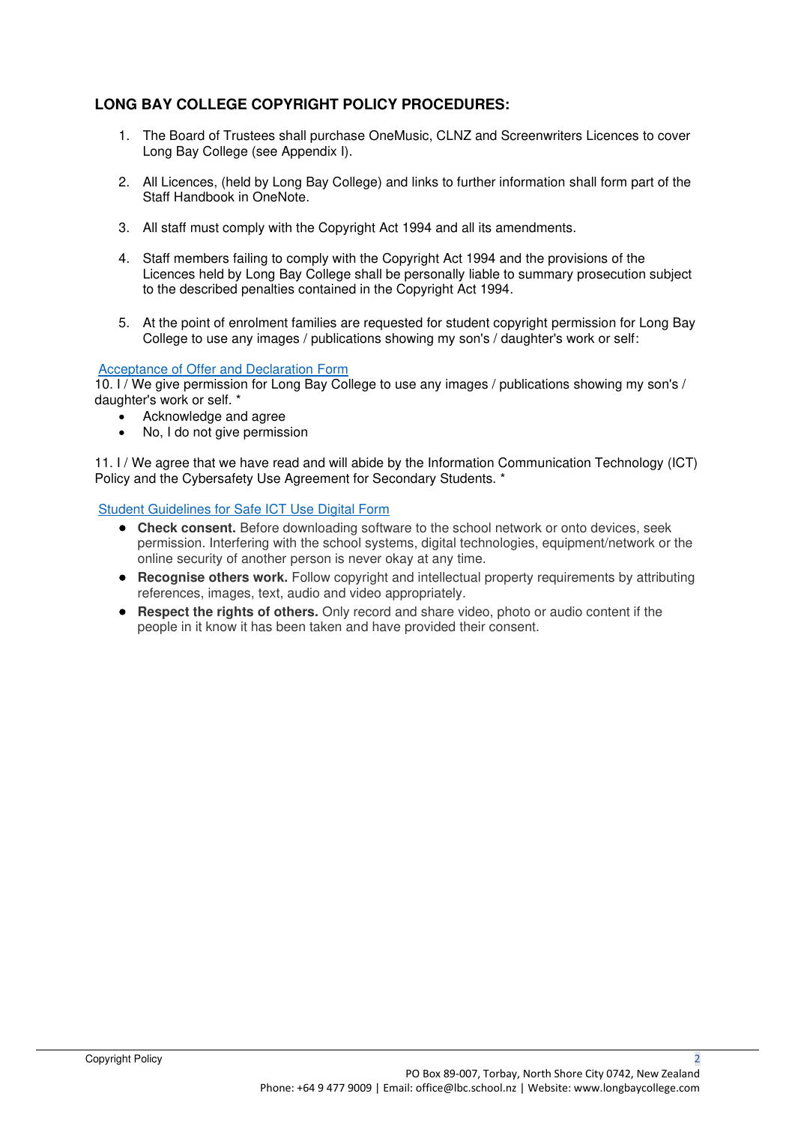### **LONG BAY COLLEGE COPYRIGHT POLICY PROCEDURES:**

- 1. The Board of Trustees shall purchase OneMusic, CLNZ and Screenwriters Licences to cover Long Bay College (see Appendix I).
- 2. All Licences, (held by Long Bay College) and links to further information shall form part of the Staff Handbook in OneNote.
- 3. All staff must comply with the Copyright Act 1994 and all its amendments.
- 4. Staff members failing to comply with the Copyright Act 1994 and the provisions of the Licences held by Long Bay College shall be personally liable to summary prosecution subject to the described penalties contained in the Copyright Act 1994.
- 5. At the point of enrolment families are requested for student copyright permission for Long Bay College to use any images / publications showing my son's / daughter's work or self:

### [Acceptance of Offer and Declaration Form](https://forms.office.com/pages/responsepage.aspx?id=yVmjCtuvEEiWLSiRMHv1BuuOYRaIuDVNpMEVRFbdYsNUQ0VPMldBUzdMNDNSTzRRREg3MEZSUUZKSy4u)

10. I / We give permission for Long Bay College to use any images / publications showing my son's / daughter's work or self. \*

- Acknowledge and agree
- No, I do not give permission

11. I / We agree that we have read and will abide by the Information Communication Technology (ICT) Policy and the Cybersafety Use Agreement for Secondary Students. \*

#### [Student Guidelines for Safe ICT Use Digital Form](https://forms.office.com/pages/responsepage.aspx?id=yVmjCtuvEEiWLSiRMHv1BuuOYRaIuDVNpMEVRFbdYsNURExITFE2Q0ozWlBYWlI3QVMxNks2SVRMNi4u)

- **Check consent.** Before downloading software to the school network or onto devices, seek permission. Interfering with the school systems, digital technologies, equipment/network or the online security of another person is never okay at any time.
- **Recognise others work.** Follow copyright and intellectual property requirements by attributing references, images, text, audio and video appropriately.
- **Respect the rights of others.** Only record and share video, photo or audio content if the people in it know it has been taken and have provided their consent.